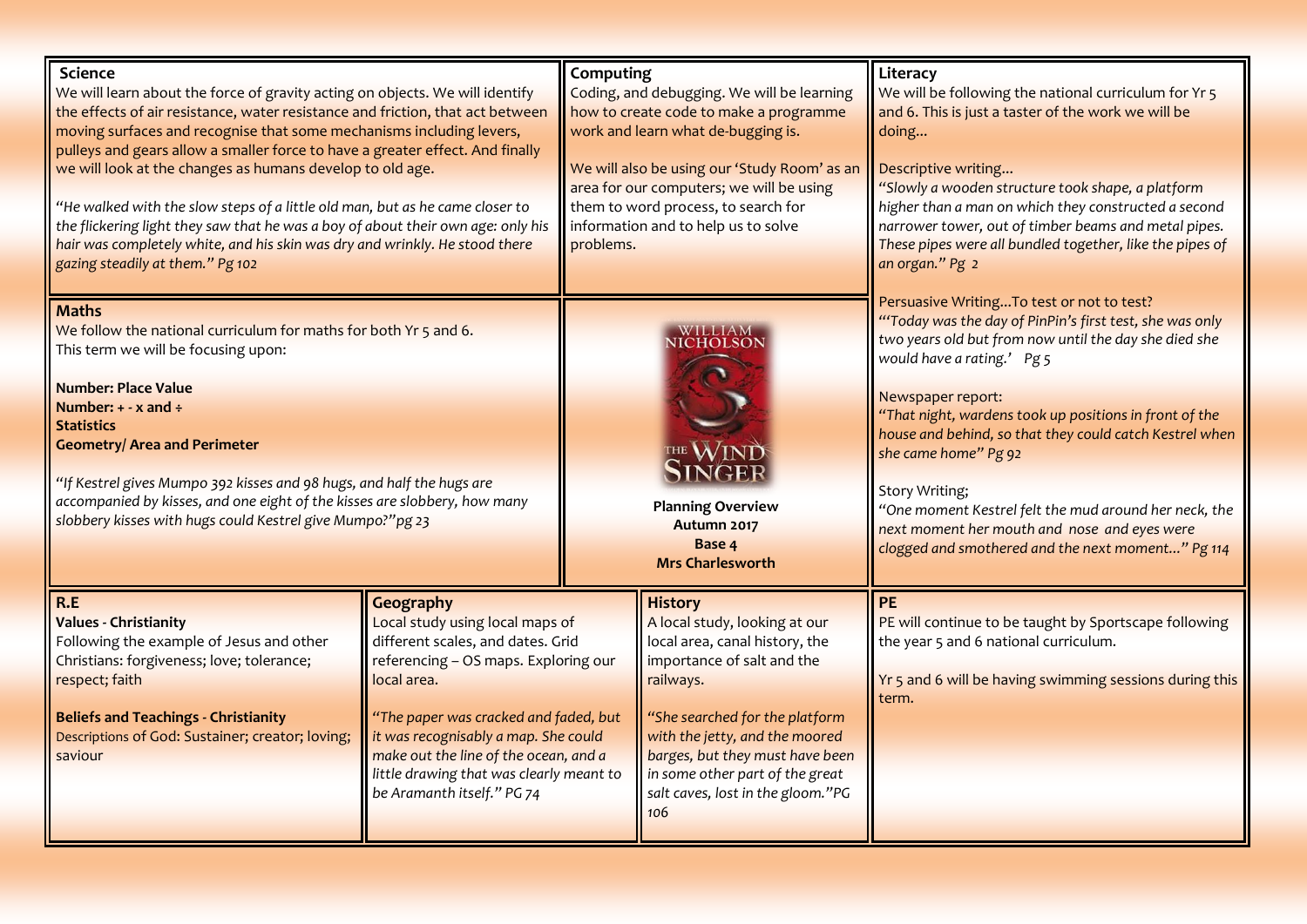| <b>Science</b><br>We will learn about the force of gravity acting on objects. We will identify<br>the effects of air resistance, water resistance and friction, that act between<br>moving surfaces and recognise that some mechanisms including levers,<br>pulleys and gears allow a smaller force to have a greater effect. And finally<br>we will look at the changes as humans develop to old age.<br>"He walked with the slow steps of a little old man, but as he came closer to<br>the flickering light they saw that he was a boy of about their own age: only his<br>hair was completely white, and his skin was dry and wrinkly. He stood there<br>gazing steadily at them." Pg 102 |                                                                                                                                                                                                                                                                                                                                              | Computing<br>problems. | Coding, and debugging. We will be learning<br>how to create code to make a programme<br>work and learn what de-bugging is.<br>We will also be using our 'Study Room' as an<br>area for our computers; we will be using<br>them to word process, to search for<br>information and to help us to solve               | Literacy<br>We will be following the national curriculum for Yr 5<br>and 6. This is just a taster of the work we will be<br>doing<br>Descriptive writing<br>"Slowly a wooden structure took shape, a platform<br>higher than a man on which they constructed a second<br>narrower tower, out of timber beams and metal pipes.<br>These pipes were all bundled together, like the pipes of<br>an organ." Pg 2                                                                                                                                          |
|-----------------------------------------------------------------------------------------------------------------------------------------------------------------------------------------------------------------------------------------------------------------------------------------------------------------------------------------------------------------------------------------------------------------------------------------------------------------------------------------------------------------------------------------------------------------------------------------------------------------------------------------------------------------------------------------------|----------------------------------------------------------------------------------------------------------------------------------------------------------------------------------------------------------------------------------------------------------------------------------------------------------------------------------------------|------------------------|--------------------------------------------------------------------------------------------------------------------------------------------------------------------------------------------------------------------------------------------------------------------------------------------------------------------|-------------------------------------------------------------------------------------------------------------------------------------------------------------------------------------------------------------------------------------------------------------------------------------------------------------------------------------------------------------------------------------------------------------------------------------------------------------------------------------------------------------------------------------------------------|
| <b>Maths</b><br>We follow the national curriculum for maths for both Yr 5 and 6.<br>This term we will be focusing upon:<br><b>Number: Place Value</b><br>Number: $+ - x$ and $\div$<br><b>Statistics</b><br><b>Geometry/ Area and Perimeter</b><br>"If Kestrel gives Mumpo 392 kisses and 98 hugs, and half the hugs are<br>accompanied by kisses, and one eight of the kisses are slobbery, how many<br>slobbery kisses with hugs could Kestrel give Mumpo?"pg 23                                                                                                                                                                                                                            |                                                                                                                                                                                                                                                                                                                                              |                        | WILLIAM<br>VICHOLSON<br><b>Planning Overview</b><br>Autumn 2017<br>Base 4<br><b>Mrs Charlesworth</b>                                                                                                                                                                                                               | Persuasive Writing To test or not to test?<br>"Today was the day of PinPin's first test, she was only<br>two years old but from now until the day she died she<br>would have a rating.' Pg 5<br>Newspaper report:<br>"That night, wardens took up positions in front of the<br>house and behind, so that they could catch Kestrel when<br>she came home" Pg 92<br><b>Story Writing;</b><br>"One moment Kestrel felt the mud around her neck, the<br>next moment her mouth and nose and eyes were<br>clogged and smothered and the next moment" Pg 114 |
| R.E<br><b>Values - Christianity</b><br>Following the example of Jesus and other<br>Christians: forgiveness; love; tolerance;<br>respect; faith<br><b>Beliefs and Teachings - Christianity</b><br>Descriptions of God: Sustainer; creator; loving;<br>saviour                                                                                                                                                                                                                                                                                                                                                                                                                                  | Geography<br>Local study using local maps of<br>different scales, and dates. Grid<br>referencing - OS maps. Exploring our<br>local area.<br>"The paper was cracked and faded, but<br>it was recognisably a map. She could<br>make out the line of the ocean, and a<br>little drawing that was clearly meant to<br>be Aramanth itself." PG 74 |                        | <b>History</b><br>A local study, looking at our<br>local area, canal history, the<br>importance of salt and the<br>railways.<br>"She searched for the platform<br>with the jetty, and the moored<br>barges, but they must have been<br>in some other part of the great<br>salt caves, lost in the gloom."PG<br>106 | <b>PE</b><br>PE will continue to be taught by Sportscape following<br>the year 5 and 6 national curriculum.<br>Yr 5 and 6 will be having swimming sessions during this<br>term.                                                                                                                                                                                                                                                                                                                                                                       |